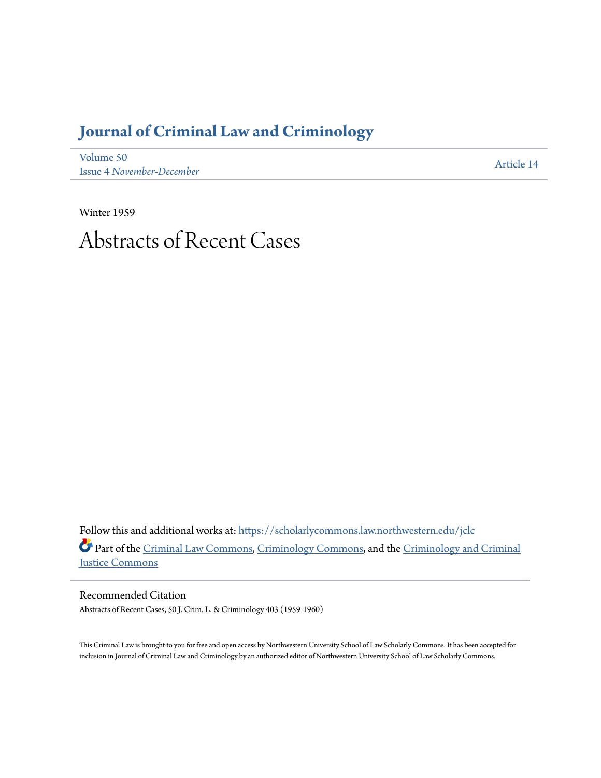## **[Journal of Criminal Law and Criminology](https://scholarlycommons.law.northwestern.edu/jclc?utm_source=scholarlycommons.law.northwestern.edu%2Fjclc%2Fvol50%2Fiss4%2F14&utm_medium=PDF&utm_campaign=PDFCoverPages)**

[Volume 50](https://scholarlycommons.law.northwestern.edu/jclc/vol50?utm_source=scholarlycommons.law.northwestern.edu%2Fjclc%2Fvol50%2Fiss4%2F14&utm_medium=PDF&utm_campaign=PDFCoverPages) Issue 4 *[November-December](https://scholarlycommons.law.northwestern.edu/jclc/vol50/iss4?utm_source=scholarlycommons.law.northwestern.edu%2Fjclc%2Fvol50%2Fiss4%2F14&utm_medium=PDF&utm_campaign=PDFCoverPages)*

[Article 14](https://scholarlycommons.law.northwestern.edu/jclc/vol50/iss4/14?utm_source=scholarlycommons.law.northwestern.edu%2Fjclc%2Fvol50%2Fiss4%2F14&utm_medium=PDF&utm_campaign=PDFCoverPages)

Winter 1959

# Abstracts of Recent Cases

Follow this and additional works at: [https://scholarlycommons.law.northwestern.edu/jclc](https://scholarlycommons.law.northwestern.edu/jclc?utm_source=scholarlycommons.law.northwestern.edu%2Fjclc%2Fvol50%2Fiss4%2F14&utm_medium=PDF&utm_campaign=PDFCoverPages) Part of the [Criminal Law Commons](http://network.bepress.com/hgg/discipline/912?utm_source=scholarlycommons.law.northwestern.edu%2Fjclc%2Fvol50%2Fiss4%2F14&utm_medium=PDF&utm_campaign=PDFCoverPages), [Criminology Commons](http://network.bepress.com/hgg/discipline/417?utm_source=scholarlycommons.law.northwestern.edu%2Fjclc%2Fvol50%2Fiss4%2F14&utm_medium=PDF&utm_campaign=PDFCoverPages), and the [Criminology and Criminal](http://network.bepress.com/hgg/discipline/367?utm_source=scholarlycommons.law.northwestern.edu%2Fjclc%2Fvol50%2Fiss4%2F14&utm_medium=PDF&utm_campaign=PDFCoverPages) [Justice Commons](http://network.bepress.com/hgg/discipline/367?utm_source=scholarlycommons.law.northwestern.edu%2Fjclc%2Fvol50%2Fiss4%2F14&utm_medium=PDF&utm_campaign=PDFCoverPages)

Recommended Citation Abstracts of Recent Cases, 50 J. Crim. L. & Criminology 403 (1959-1960)

This Criminal Law is brought to you for free and open access by Northwestern University School of Law Scholarly Commons. It has been accepted for inclusion in Journal of Criminal Law and Criminology by an authorized editor of Northwestern University School of Law Scholarly Commons.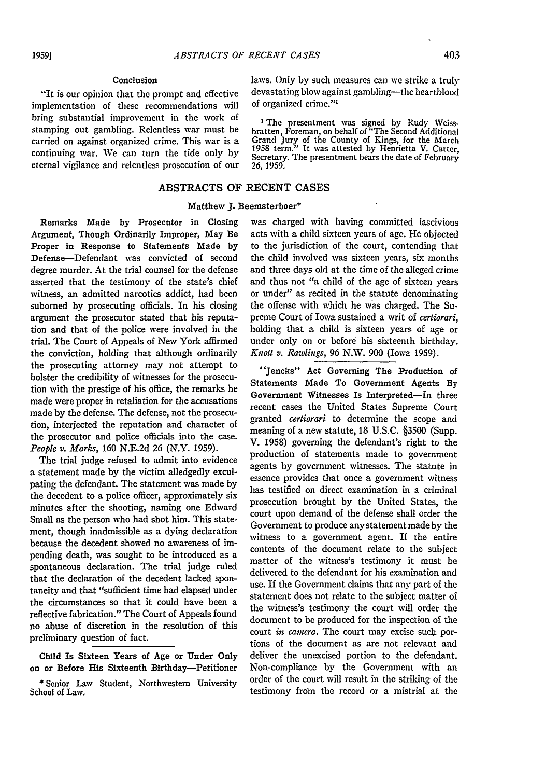#### Conclusion

"It is our opinion that the prompt and effective implementation of these recommendations will bring substantial improvement in the work of stamping out gambling. Relentless war must be carried on against organized crime. This war is a continuing war. We can turn the tide only by eternal vigilance and relentless prosecution of our laws. Only by such measures can we strike a truly devastating blow against gambling-the heartblood of organized crime."'

<sup>1</sup> The presentment was signed by Rudy Weissbratten, Foreman, on behalf of "The Second Additional Grand Jury of the County of Kings, for the March 1958 term." It was attested **by** Henrietta V. Carter, Secretary. The presentment bears the date of February **26,** 1959.

### ABSTRACTS OF RECENT CASES

#### Matthew **J.** Beemsterboer\*

Remarks Made by Prosecutor in Closing Argument, Though Ordinarily Improper, May Be Proper in Response to Statements Made by Defense-Defendant was convicted of second degree murder. At the trial counsel for the defense asserted that the testimony of the state's chief witness, an admitted narcotics addict, had been suborned by prosecuting officials. In his closing argument the prosecutor stated that his reputation and that of the police were involved in the trial. The Court of Appeals of New York affirmed the conviction, holding that although ordinarily the prosecuting attorney may not attempt to bolster the credibility of witnesses for the prosecution with the prestige of his office, the remarks he made were proper in retaliation for the accusations made by the defense. The defense, not the prosecution, interjected the reputation and character of the prosecutor and police officials into the case. *People v. Marks,* 160 N.E.2d 26 (N.Y. 1959).

The trial judge refused to admit into evidence a statement made by the victim alledgedly exculpating the defendant. The statement was made by the decedent to a police officer, approximately six minutes after the shooting, naming one Edward Small as the person who had shot him. This statement, though inadmissible as a dying declaration because the decedent showed no awareness of impending death, was sought to be introduced as a spontaneous declaration. The trial judge ruled that the declaration of the decedent lacked spontaneity and that "sufficient time had elapsed under the circumstances so that it could have been a reflective fabrication." The Court of Appeals found no abuse of discretion in the resolution of this preliminary question of fact.

Child Is Sixteen Years of Age or Under Only on or Before Ris Sixteenth Birthday-Petitioner

was charged with having committed lascivious acts with a child sixteen years of age. He objected to the jurisdiction of the court, contending that the child involved was sixteen years, six months and three days old at the time of the alleged crime and thus not "a child of the age of sixteen years or under" as recited in the statute denominating the offense with which he was charged. The Supreme Court of Iowa sustained a writ of *certiorari,* holding that a child is sixteen years of age or under only on or before his sixteenth birthday. *Knott v. Rawlings,* 96 N.W. 900 (Iowa 1959).

"Jencks" Act Governing The Production of Statements Made To Government Agents **By** Government Witnesses Is Interpreted-In three recent cases the United States Supreme Court granted *certiorari* to determine the scope and meaning of a new statute, 18 U.S.C. §3500 (Supp. V. 1958) governing the defendant's right to the production of statements made to government agents by government witnesses. The statute in essence provides that once a government witness has testified on direct examination in a criminal prosecution brought by the United States, the court upon demand of the defense shall order the Government to produce any statement made by the witness to a government agent. If the entire contents of the document relate to the subject matter of the witness's testimony it must be delivered to the defendant for his examination and use. If the Government claims that any part of the statement does not relate to the subject matter of the witness's testimony the court will order the document to **be** produced for the inspection of the court *in camera.* The court may excise such portions of the document as are not relevant and deliver the unexcised portion to the defendant. Non-compliance by the Government with an order of the court will result in the striking of the testimony from the record or a mistrial at the

<sup>\*</sup>Senior Law Student, Northwestern University School of Law.